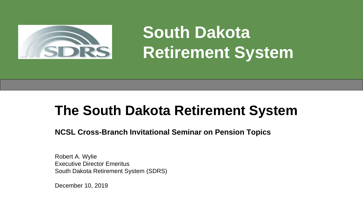

**South Dakota Retirement System**

# **The South Dakota Retirement System**

**NCSL Cross-Branch Invitational Seminar on Pension Topics** 

Robert A. Wylie Executive Director Emeritus South Dakota Retirement System (SDRS)

December 10, 2019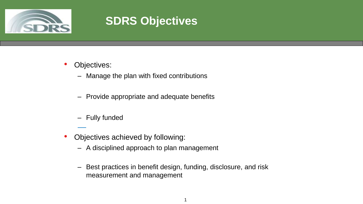

# **SDRS Objectives**

- Objectives:
	- Manage the plan with fixed contributions
	- Provide appropriate and adequate benefits
	- Fully funded
- Objectives achieved by following:
	- A disciplined approach to plan management
	- Best practices in benefit design, funding, disclosure, and risk measurement and management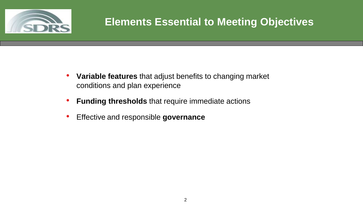

## **Elements Essential to Meeting Objectives**

- **Variable features** that adjust benefits to changing market conditions and plan experience
- **Funding thresholds** that require immediate actions
- Effective and responsible **governance**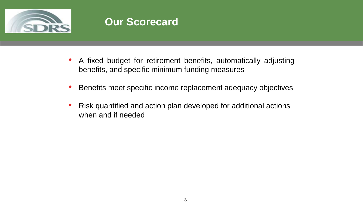

#### **Our Scorecard**

- A fixed budget for retirement benefits, automatically adjusting benefits, and specific minimum funding measures
- Benefits meet specific income replacement adequacy objectives
- Risk quantified and action plan developed for additional actions when and if needed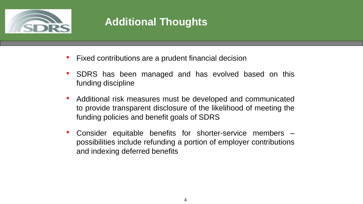

# **Additional Thoughts**

- Fixed contributions are a prudent financial decision
- SDRS has been managed and has evolved based on this funding discipline
- Additional risk measures must be developed and communicated to provide transparent disclosure of the likelihood of meeting the funding policies and benefit goals of SDRS
- Consider equitable benefits for shorter-service members possibilities include refunding a portion of employer contributions and indexing deferred benefits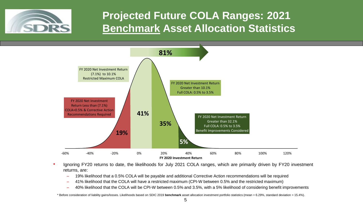

### **Projected Future COLA Ranges: 2021 Benchmark Asset Allocation Statistics**



- Ignoring FY20 returns to date, the likelihoods for July 2021 COLA ranges, which are primarily driven by FY20 investment returns, are:
	- 19% likelihood that a 0.5% COLA will be payable and additional Corrective Action recommendations will be required
	- 41% likelihood that the COLA will have a restricted maximum (CPI-W between 0.5% and the restricted maximum)
	- 40% likelihood that the COLA will be CPI-W between 0.5% and 3.5%, with a 5% likelihood of considering benefit improvements

\* Before consideration of liability gains/losses. Likelihoods based on SDIC 2019 **benchmark** asset allocation investment portfolio statistics (mean = 6.29%, standard deviation = 15.4%).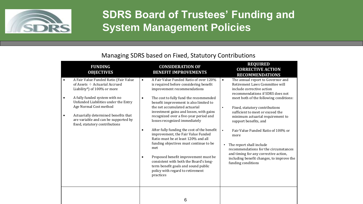

#### **SDRS Board of Trustees' Funding and System Management Policies**

#### Managing SDRS based on Fixed, Statutory Contributions

|                                     | <b>FUNDING</b><br><b>OBJECTIVES</b>                                                                                                                                                                                                                                                                                             |                                                  | <b>CONSIDERATION OF</b><br><b>BENEFIT IMPROVEMENTS</b>                                                                                                                                                                                                                                                                                                                                                                                                                                                                                                                                                                                                                                                            |                                     | <b>REQUIRED</b><br><b>CORRECTIVE ACTION</b><br><b>RECOMMENDATIONS</b>                                                                                                                                                                                                                                                                                                                                                                                                                                                                            |
|-------------------------------------|---------------------------------------------------------------------------------------------------------------------------------------------------------------------------------------------------------------------------------------------------------------------------------------------------------------------------------|--------------------------------------------------|-------------------------------------------------------------------------------------------------------------------------------------------------------------------------------------------------------------------------------------------------------------------------------------------------------------------------------------------------------------------------------------------------------------------------------------------------------------------------------------------------------------------------------------------------------------------------------------------------------------------------------------------------------------------------------------------------------------------|-------------------------------------|--------------------------------------------------------------------------------------------------------------------------------------------------------------------------------------------------------------------------------------------------------------------------------------------------------------------------------------------------------------------------------------------------------------------------------------------------------------------------------------------------------------------------------------------------|
| $\bullet$<br>$\bullet$<br>$\bullet$ | A Fair Value Funded Ratio (Fair Value<br>of Assets $\div$ Actuarial Accrued<br>Liability*) of 100% or more<br>A fully funded system with no<br>Unfunded Liabilities under the Entry<br>Age Normal Cost method<br>Actuarially determined benefits that<br>are variable and can be supported by<br>fixed, statutory contributions | $\bullet$<br>$\bullet$<br>$\bullet$<br>$\bullet$ | A Fair Value Funded Ratio of over 120%<br>is required before considering benefit<br>improvement recommendations<br>The cost to fully fund the recommended<br>benefit improvement is also limited to<br>the net accumulated actuarial<br>investment gains and losses, with gains<br>recognized over a five-year period and<br>losses recognized immediately<br>After fully funding the cost of the benefit<br>improvement, the Fair Value Funded<br>Ratio must be at least 120% and all<br>funding objectives must continue to be<br>met<br>Proposed benefit improvement must be<br>consistent with both the Board's long-<br>term benefit goals and sound public<br>policy with regard to retirement<br>practices | $\bullet$<br>$\bullet$<br>$\bullet$ | The annual report to Governor and<br>Retirement Laws Committee will<br>include corrective action<br>recommendations if SDRS does not<br>meet both of the following conditions:<br>Fixed, statutory contributions<br>sufficient to meet or exceed the<br>minimum actuarial requirement to<br>support benefits, and<br>Fair Value Funded Ratio of 100% or<br>more<br>The report shall include<br>recommendations for the circumstances<br>and timing for any corrective action,<br>including benefit changes, to improve the<br>funding conditions |
|                                     |                                                                                                                                                                                                                                                                                                                                 |                                                  | 6                                                                                                                                                                                                                                                                                                                                                                                                                                                                                                                                                                                                                                                                                                                 |                                     |                                                                                                                                                                                                                                                                                                                                                                                                                                                                                                                                                  |